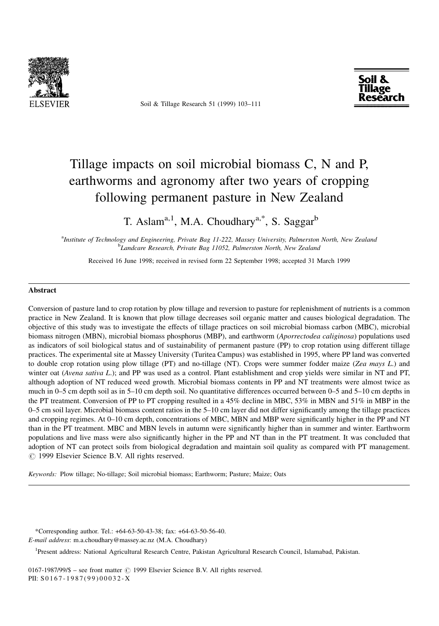

Soil & Tillage Research 51 (1999) 103-111



# Tillage impacts on soil microbial biomass C, N and P, earthworms and agronomy after two years of cropping following permanent pasture in New Zealand

T. Aslam<sup>a, 1</sup>, M.A. Choudhary<sup>a,\*</sup>, S. Saggar<sup>b</sup>

a Institute of Technology and Engineering, Private Bag 11-222, Massey University, Palmerston North, New Zealand <sup>b</sup>Landcare Research, Private Bag 11052, Palmerston North, New Zealand

Received 16 June 1998; received in revised form 22 September 1998; accepted 31 March 1999

#### Abstract

Conversion of pasture land to crop rotation by plow tillage and reversion to pasture for replenishment of nutrients is a common practice in New Zealand. It is known that plow tillage decreases soil organic matter and causes biological degradation. The objective of this study was to investigate the effects of tillage practices on soil microbial biomass carbon (MBC), microbial biomass nitrogen (MBN), microbial biomass phosphorus (MBP), and earthworm (Aporrectodea caliginosa) populations used as indicators of soil biological status and of sustainability of permanent pasture (PP) to crop rotation using different tillage practices. The experimental site at Massey University (Turitea Campus) was established in 1995, where PP land was converted to double crop rotation using plow tillage  $(PT)$  and no-tillage  $(NT)$ . Crops were summer fodder maize (Zea mays L.) and winter oat (Avena sativa L.); and PP was used as a control. Plant establishment and crop yields were similar in NT and PT, although adoption of NT reduced weed growth. Microbial biomass contents in PP and NT treatments were almost twice as much in  $0-5$  cm depth soil as in  $5-10$  cm depth soil. No quantitative differences occurred between  $0-5$  and  $5-10$  cm depths in the PT treatment. Conversion of PP to PT cropping resulted in a 45% decline in MBC, 53% in MBN and 51% in MBP in the  $0-5$  cm soil layer. Microbial biomass content ratios in the  $5-10$  cm layer did not differ significantly among the tillage practices and cropping regimes. At  $0-10$  cm depth, concentrations of MBC, MBN and MBP were significantly higher in the PP and NT than in the PT treatment. MBC and MBN levels in autumn were significantly higher than in summer and winter. Earthworm populations and live mass were also significantly higher in the PP and NT than in the PT treatment. It was concluded that adoption of NT can protect soils from biological degradation and maintain soil quality as compared with PT management.  $\odot$  1999 Elsevier Science B.V. All rights reserved.

Keywords: Plow tillage; No-tillage; Soil microbial biomass; Earthworm; Pasture; Maize; Oats

\*Corresponding author. Tel.: +64-63-50-43-38; fax: +64-63-50-56-40. E-mail address: m.a.choudhary@massey.ac.nz (M.A. Choudhary)

<sup>1</sup>Present address: National Agricultural Research Centre, Pakistan Agricultural Research Council, Islamabad, Pakistan.

0167-1987/99/\$ - see front matter  $\odot$  1999 Elsevier Science B.V. All rights reserved. PII: S 0167-1987(99)00032-X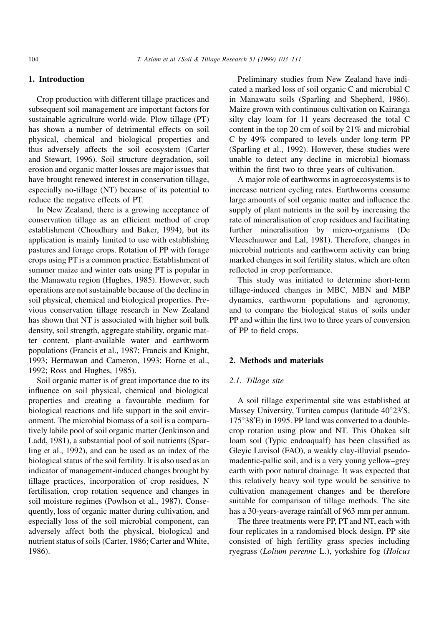# 1. Introduction

Crop production with different tillage practices and subsequent soil management are important factors for sustainable agriculture world-wide. Plow tillage (PT) has shown a number of detrimental effects on soil physical, chemical and biological properties and thus adversely affects the soil ecosystem (Carter and Stewart, 1996). Soil structure degradation, soil erosion and organic matter losses are major issues that have brought renewed interest in conservation tillage, especially no-tillage (NT) because of its potential to reduce the negative effects of PT.

In New Zealand, there is a growing acceptance of conservation tillage as an efficient method of crop establishment (Choudhary and Baker, 1994), but its application is mainly limited to use with establishing pastures and forage crops. Rotation of PP with forage crops using PT is a common practice. Establishment of summer maize and winter oats using PT is popular in the Manawatu region (Hughes, 1985). However, such operations are not sustainable because of the decline in soil physical, chemical and biological properties. Previous conservation tillage research in New Zealand has shown that NT is associated with higher soil bulk density, soil strength, aggregate stability, organic matter content, plant-available water and earthworm populations (Francis et al., 1987; Francis and Knight, 1993; Hermawan and Cameron, 1993; Horne et al., 1992; Ross and Hughes, 1985).

Soil organic matter is of great importance due to its influence on soil physical, chemical and biological properties and creating a favourable medium for biological reactions and life support in the soil environment. The microbial biomass of a soil is a comparatively labile pool of soil organic matter (Jenkinson and Ladd, 1981), a substantial pool of soil nutrients (Sparling et al., 1992), and can be used as an index of the biological status of the soil fertility. It is also used as an indicator of management-induced changes brought by tillage practices, incorporation of crop residues, N fertilisation, crop rotation sequence and changes in soil moisture regimes (Powlson et al., 1987). Consequently, loss of organic matter during cultivation, and especially loss of the soil microbial component, can adversely affect both the physical, biological and nutrient status of soils (Carter, 1986; Carter and White, 1986).

Preliminary studies from New Zealand have indicated a marked loss of soil organic C and microbial C in Manawatu soils (Sparling and Shepherd, 1986). Maize grown with continuous cultivation on Kairanga silty clay loam for 11 years decreased the total C content in the top 20 cm of soil by 21% and microbial C by 49% compared to levels under long-term PP (Sparling et al., 1992). However, these studies were unable to detect any decline in microbial biomass within the first two to three years of cultivation.

A major role of earthworms in agroecosystems is to increase nutrient cycling rates. Earthworms consume large amounts of soil organic matter and influence the supply of plant nutrients in the soil by increasing the rate of mineralisation of crop residues and facilitating further mineralisation by micro-organisms (De Vleeschauwer and Lal, 1981). Therefore, changes in microbial nutrients and earthworm activity can bring marked changes in soil fertility status, which are often reflected in crop performance.

This study was initiated to determine short-term tillage-induced changes in MBC, MBN and MBP dynamics, earthworm populations and agronomy, and to compare the biological status of soils under PP and within the first two to three years of conversion of PP to field crops.

## 2. Methods and materials

## 2.1. Tillage site

A soil tillage experimental site was established at Massey University, Turitea campus (latitude  $40^{\circ}23'S$ ,  $175^{\circ}38'E$ ) in 1995. PP land was converted to a doublecrop rotation using plow and NT. This Ohakea silt loam soil (Typic endoaqualf) has been classified as Gleyic Luvisol (FAO), a weakly clay-illuvial pseudomadentic-pallic soil, and is a very young yellow-grey earth with poor natural drainage. It was expected that this relatively heavy soil type would be sensitive to cultivation management changes and be therefore suitable for comparison of tillage methods. The site has a 30-years-average rainfall of 963 mm per annum.

The three treatments were PP, PT and NT, each with four replicates in a randomised block design. PP site consisted of high fertility grass species including ryegrass (Lolium perenne L.), yorkshire fog (Holcus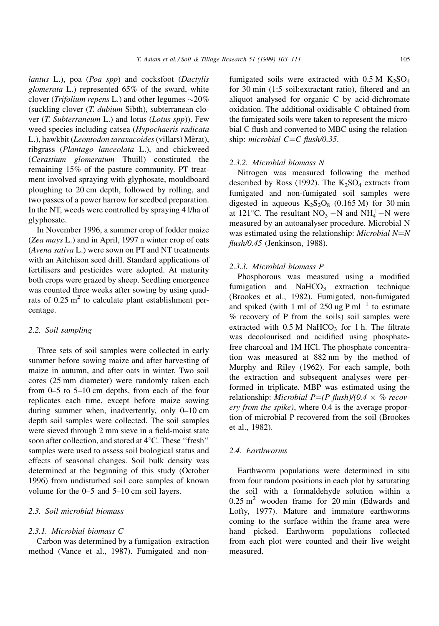lantus L.), poa (Poa spp) and cocksfoot (Dactylis glomerata L.) represented 65% of the sward, white clover (*Trifolium repens L*.) and other legumes  $\sim$ 20% (suckling clover (T. dubium Sibth), subterranean clover  $(T.$  Subterraneum L.) and lotus  $(Lotus$  spp)). Few weed species including catsea (Hypochaeris radicata L.), hawkbit (Leontodon taraxacoides (villars) Mèrat), ribgrass (Plantago lanceolata L.), and chickweed (Cerastium glomeratum Thuill) constituted the remaining 15% of the pasture community. PT treatment involved spraying with glyphosate, mouldboard ploughing to 20 cm depth, followed by rolling, and two passes of a power harrow for seedbed preparation. In the NT, weeds were controlled by spraying 4 l/ha of glyphosate.

In November 1996, a summer crop of fodder maize (Zea mays L.) and in April, 1997 a winter crop of oats (Avena sativa L.) were sown on PT and NT treatments with an Aitchison seed drill. Standard applications of fertilisers and pesticides were adopted. At maturity both crops were grazed by sheep. Seedling emergence was counted three weeks after sowing by using quadrats of  $0.25 \text{ m}^2$  to calculate plant establishment percentage.

# 2.2. Soil sampling

Three sets of soil samples were collected in early summer before sowing maize and after harvesting of maize in autumn, and after oats in winter. Two soil cores (25 mm diameter) were randomly taken each from  $0-5$  to  $5-10$  cm depths, from each of the four replicates each time, except before maize sowing during summer when, inadvertently, only  $0-10$  cm depth soil samples were collected. The soil samples were sieved through 2 mm sieve in a field-moist state soon after collection, and stored at  $4^{\circ}$ C. These "fresh" samples were used to assess soil biological status and effects of seasonal changes. Soil bulk density was determined at the beginning of this study (October 1996) from undisturbed soil core samples of known volume for the  $0-5$  and  $5-10$  cm soil layers.

# 2.3. Soil microbial biomass

#### 2.3.1. Microbial biomass C

Carbon was determined by a fumigation-extraction method (Vance et al., 1987). Fumigated and non-

fumigated soils were extracted with  $0.5 M K<sub>2</sub>SO<sub>4</sub>$ for 30 min (1:5 soil: extractant ratio), filtered and an aliquot analysed for organic C by acid-dichromate oxidation. The additional oxidisable C obtained from the fumigated soils were taken to represent the microbial C flush and converted to MBC using the relationship: microbial  $C=C$  flush/0.35.

#### 2.3.2. Microbial biomass N

Nitrogen was measured following the method described by Ross (1992). The  $K_2SO_4$  extracts from fumigated and non-fumigated soil samples were digested in aqueous  $K_2S_2O_8$  (0.165 M) for 30 min at 121 $^{\circ}$ C. The resultant NO<sub>3</sub> – N and NH<sub>4</sub><sup> $+$ </sup> – N were measured by an autoanalyser procedure. Microbial N was estimated using the relationship: *Microbial*  $N=N$  $flush/0.45$  (Jenkinson, 1988).

#### 2.3.3. Microbial biomass P

Phosphorous was measured using a modified fumigation and  $NAHCO<sub>3</sub>$  extraction technique (Brookes et al., 1982). Fumigated, non-fumigated and spiked (with 1 ml of 250 ug P ml<sup> $-1$ </sup> to estimate % recovery of P from the soils) soil samples were extracted with  $0.5 M$  NaHCO<sub>3</sub> for 1 h. The filtrate was decolourised and acidified using phosphatefree charcoal and 1M HCl. The phosphate concentration was measured at 882 nm by the method of Murphy and Riley (1962). For each sample, both the extraction and subsequent analyses were performed in triplicate. MBP was estimated using the relationship: *Microbial*  $P=(P \text{ flush})/(0.4 \times \% \text{ recov}$ ery from the spike), where 0.4 is the average proportion of microbial P recovered from the soil (Brookes et al., 1982).

## 2.4. Earthworms

Earthworm populations were determined in situ from four random positions in each plot by saturating the soil with a formaldehyde solution within a  $0.25 \text{ m}^2$  wooden frame for 20 min (Edwards and Lofty, 1977). Mature and immature earthworms coming to the surface within the frame area were hand picked. Earthworm populations collected from each plot were counted and their live weight measured.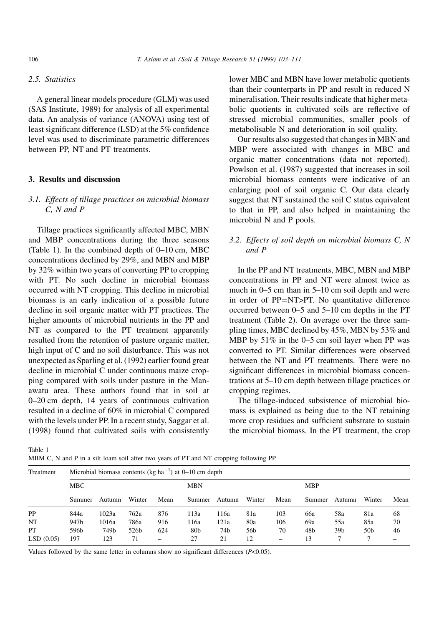# 2.5. Statistics

A general linear models procedure (GLM) was used (SAS Institute, 1989) for analysis of all experimental data. An analysis of variance (ANOVA) using test of least significant difference (LSD) at the 5% confidence level was used to discriminate parametric differences between PP, NT and PT treatments.

## 3. Results and discussion

# 3.1. Effects of tillage practices on microbial biomass C, N and P

Tillage practices significantly affected MBC, MBN and MBP concentrations during the three seasons (Table 1). In the combined depth of  $0-10$  cm, MBC concentrations declined by 29%, and MBN and MBP by 32% within two years of converting PP to cropping with PT. No such decline in microbial biomass occurred with NT cropping. This decline in microbial biomass is an early indication of a possible future decline in soil organic matter with PT practices. The higher amounts of microbial nutrients in the PP and NT as compared to the PT treatment apparently resulted from the retention of pasture organic matter, high input of C and no soil disturbance. This was not unexpected as Sparling et al. (1992) earlier found great decline in microbial C under continuous maize cropping compared with soils under pasture in the Manawatu area. These authors found that in soil at 0-20 cm depth, 14 years of continuous cultivation resulted in a decline of 60% in microbial C compared with the levels under PP. In a recent study, Saggar et al. (1998) found that cultivated soils with consistently

lower MBC and MBN have lower metabolic quotients than their counterparts in PP and result in reduced N mineralisation. Their results indicate that higher metabolic quotients in cultivated soils are reflective of stressed microbial communities, smaller pools of metabolisable N and deterioration in soil quality.

Our results also suggested that changes in MBN and MBP were associated with changes in MBC and organic matter concentrations (data not reported). Powlson et al. (1987) suggested that increases in soil microbial biomass contents were indicative of an enlarging pool of soil organic C. Our data clearly suggest that NT sustained the soil C status equivalent to that in PP, and also helped in maintaining the microbial N and P pools.

# 3.2. Effects of soil depth on microbial biomass C, N and P

In the PP and NT treatments, MBC, MBN and MBP concentrations in PP and NT were almost twice as much in  $0-5$  cm than in  $5-10$  cm soil depth and were in order of PP=NT>PT. No quantitative difference occurred between  $0-5$  and  $5-10$  cm depths in the PT treatment (Table 2). On average over the three sampling times, MBC declined by 45%, MBN by 53% and MBP by  $51\%$  in the 0-5 cm soil layer when PP was converted to PT. Similar differences were observed between the NT and PT treatments. There were no significant differences in microbial biomass concentrations at 5-10 cm depth between tillage practices or cropping regimes.

The tillage-induced subsistence of microbial biomass is explained as being due to the NT retaining more crop residues and sufficient substrate to sustain the microbial biomass. In the PT treatment, the crop

Table 1

MBM C, N and P in a silt loam soil after two years of PT and NT cropping following PP

Treatment Microbial biomass contents (kg ha<sup> $-1$ </sup>) at 0–10 cm depth

|           | MBC    |        |        |      | <b>MBN</b>      |        |        |      | <b>MBP</b> |                 |                 |      |
|-----------|--------|--------|--------|------|-----------------|--------|--------|------|------------|-----------------|-----------------|------|
|           |        |        |        |      |                 |        |        |      |            |                 |                 |      |
|           | Summer | Autumn | Winter | Mean | Summer          | Autumn | Winter | Mean | Summer     | Autumn          | Winter          | Mean |
| <b>PP</b> | 844a   | 1023a  | 762a   | 876  | 113a            | 116a   | 81a    | 103  | 66a        | 58a             | 81a             | 68   |
| NT        | 947b   | 1016a  | 786a   | 916  | l 16a           | 121a   | 80a    | 106  | 69a        | 55a             | 85a             | 70   |
| PТ        | 596b   | 749b   | 526b   | 624  | 80 <sub>b</sub> | 74b    | 56b    | 70   | 48b        | 39 <sub>b</sub> | 50 <sub>b</sub> | 46   |
| LSD(0.05) | 197    | 123    | 71     |      | 27              | 21     | 12     | -    | 13         |                 |                 |      |

Values followed by the same letter in columns show no significant differences  $(P<0.05)$ .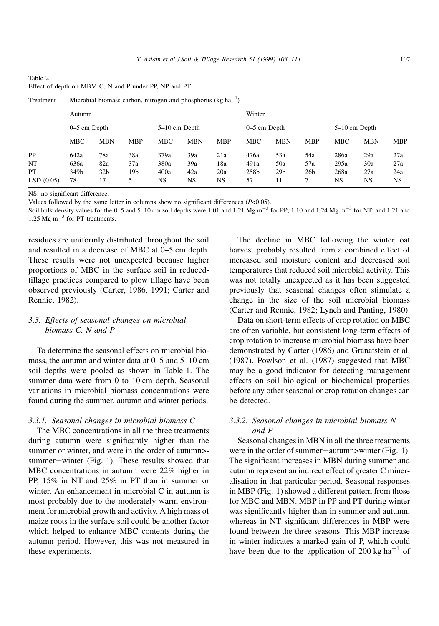| Table 2                                               |  |  |
|-------------------------------------------------------|--|--|
| Effect of depth on MBM C, N and P under PP, NP and PT |  |  |

| Treatment | Microbial biomass carbon, nitrogen and phosphorus (kg $ha^{-1}$ ) |  |  |  |
|-----------|-------------------------------------------------------------------|--|--|--|
|           |                                                                   |  |  |  |

|           | Autumn         |                 |            |                 |            |            | Winter         |                 |            |                 |            |            |
|-----------|----------------|-----------------|------------|-----------------|------------|------------|----------------|-----------------|------------|-----------------|------------|------------|
|           | $0-5$ cm Depth |                 |            | $5-10$ cm Depth |            |            | $0-5$ cm Depth |                 |            | $5-10$ cm Depth |            |            |
|           | <b>MBC</b>     | <b>MBN</b>      | <b>MBP</b> | <b>MBC</b>      | <b>MBN</b> | <b>MBP</b> | <b>MBC</b>     | <b>MBN</b>      | <b>MBP</b> | <b>MBC</b>      | <b>MBN</b> | <b>MBP</b> |
| <b>PP</b> | 642a           | 78a             | 38a        | 379a            | 39a        | 21a        | 476a           | 53a             | 54a        | 286a            | 29a        | 27a        |
| NT        | 636a           | 82a             | 37a        | 380a            | 39a        | 18a        | 491a           | 50a             | 57a        | 295a            | 30a        | 27a        |
| PT        | 349b           | 32 <sub>b</sub> | 19b        | 400a            | 42a        | 20a        | 258b           | 29 <sub>b</sub> | 26b        | 268a            | 27a        | 24a        |
| LSD(0.05) | 78             | 17              |            | NS              | NS         | <b>NS</b>  | 57             | 11              |            | NS              | <b>NS</b>  | NS         |

NS: no significant difference.

Values followed by the same letter in columns show no significant differences  $(P<0.05)$ .

Soil bulk density values for the 0-5 and 5-10 cm soil depths were 1.01 and 1.21 Mg  $\text{m}^{-3}$  for PP; 1.10 and 1.24 Mg  $\text{m}^{-3}$  for NT; and 1.21 and 1.25 Mg  $\text{m}^{-3}$  for PT treatments.

residues are uniformly distributed throughout the soil and resulted in a decrease of MBC at 0–5 cm depth. These results were not unexpected because higher proportions of MBC in the surface soil in reducedtillage practices compared to plow tillage have been observed previously (Carter, 1986, 1991; Carter and Rennie, 1982).

# 3.3. Effects of seasonal changes on microbial biomass C, N and P

To determine the seasonal effects on microbial biomass, the autumn and winter data at  $0-5$  and  $5-10$  cm soil depths were pooled as shown in Table 1. The summer data were from 0 to 10 cm depth. Seasonal variations in microbial biomass concentrations were found during the summer, autumn and winter periods.

## 3.3.1. Seasonal changes in microbial biomass C

The MBC concentrations in all the three treatments during autumn were significantly higher than the summer or winter, and were in the order of autumn>summer=winter (Fig. 1). These results showed that MBC concentrations in autumn were 22% higher in PP, 15% in NT and 25% in PT than in summer or winter. An enhancement in microbial C in autumn is most probably due to the moderately warm environment for microbial growth and activity. A high mass of maize roots in the surface soil could be another factor which helped to enhance MBC contents during the autumn period. However, this was not measured in these experiments.

The decline in MBC following the winter oat harvest probably resulted from a combined effect of increased soil moisture content and decreased soil temperatures that reduced soil microbial activity. This was not totally unexpected as it has been suggested previously that seasonal changes often stimulate a change in the size of the soil microbial biomass (Carter and Rennie, 1982; Lynch and Panting, 1980).

Data on short-term effects of crop rotation on MBC are often variable, but consistent long-term effects of crop rotation to increase microbial biomass have been demonstrated by Carter (1986) and Granatstein et al. (1987). Powlson et al. (1987) suggested that MBC may be a good indicator for detecting management effects on soil biological or biochemical properties before any other seasonal or crop rotation changes can be detected.

# 3.3.2. Seasonal changes in microbial biomass N and P

Seasonal changes in MBN in all the three treatments were in the order of summer=autumn>winter (Fig. 1). The significant increases in MBN during summer and autumn represent an indirect effect of greater C mineralisation in that particular period. Seasonal responses in MBP (Fig. 1) showed a different pattern from those for MBC and MBN. MBP in PP and PT during winter was significantly higher than in summer and autumn, whereas in NT significant differences in MBP were found between the three seasons. This MBP increase in winter indicates a marked gain of P, which could have been due to the application of  $200 \text{ kg ha}^{-1}$  of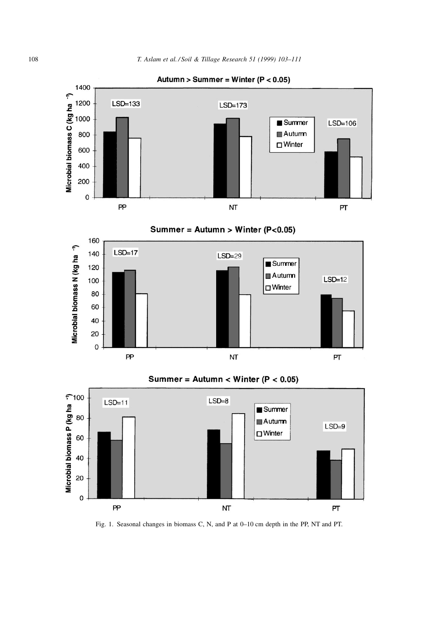

Autumn > Summer = Winter ( $P < 0.05$ )



Summer =  $\text{Autumn} < \text{Winter}$  (P < 0.05)

NT

 $\mathsf{PT}$ 

 $PP$ 



Fig. 1. Seasonal changes in biomass C, N, and P at 0-10 cm depth in the PP, NT and PT.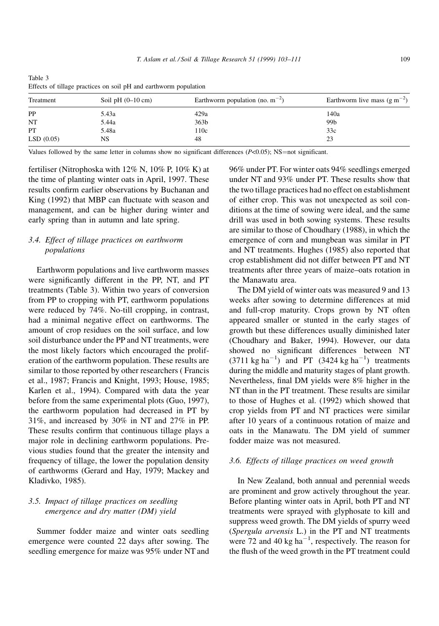| Treatment | Soil pH $(0-10 \text{ cm})$ | Earthworm population (no. $m^{-2}$ ) | Earthworm live mass $(g m^{-2})$ |  |  |
|-----------|-----------------------------|--------------------------------------|----------------------------------|--|--|
| PP        | 5.43a                       | 429a                                 | 140a                             |  |  |
| NT        | 5.44a                       | 363 <sub>b</sub>                     | 99b                              |  |  |
| PT        | 5.48a                       | 110c                                 | 33c                              |  |  |
| LSD(0.05) | NS                          | 48                                   | 23                               |  |  |

Table 3 Effects of tillage practices on soil pH and earthworm population

Values followed by the same letter in columns show no significant differences  $(P<0.05)$ ; NS=not significant.

fertiliser (Nitrophoska with 12% N, 10% P, 10% K) at the time of planting winter oats in April, 1997. These results confirm earlier observations by Buchanan and King (1992) that MBP can fluctuate with season and management, and can be higher during winter and early spring than in autumn and late spring.

# 3.4. Effect of tillage practices on earthworm populations

Earthworm populations and live earthworm masses were significantly different in the PP, NT, and PT treatments (Table 3). Within two years of conversion from PP to cropping with PT, earthworm populations were reduced by 74%. No-till cropping, in contrast, had a minimal negative effect on earthworms. The amount of crop residues on the soil surface, and low soil disturbance under the PP and NT treatments, were the most likely factors which encouraged the proliferation of the earthworm population. These results are similar to those reported by other researchers ( Francis et al., 1987; Francis and Knight, 1993; House, 1985; Karlen et al., 1994). Compared with data the year before from the same experimental plots (Guo, 1997), the earthworm population had decreased in PT by 31%, and increased by 30% in NT and 27% in PP. These results confirm that continuous tillage plays a major role in declining earthworm populations. Previous studies found that the greater the intensity and frequency of tillage, the lower the population density of earthworms (Gerard and Hay, 1979; Mackey and Kladivko, 1985).

# 3.5. Impact of tillage practices on seedling emergence and dry matter (DM) yield

Summer fodder maize and winter oats seedling emergence were counted 22 days after sowing. The seedling emergence for maize was 95% under NT and

96% under PT. For winter oats 94% seedlings emerged under NT and 93% under PT. These results show that the two tillage practices had no effect on establishment of either crop. This was not unexpected as soil conditions at the time of sowing were ideal, and the same drill was used in both sowing systems. These results are similar to those of Choudhary (1988), in which the emergence of corn and mungbean was similar in PT and NT treatments. Hughes (1985) also reported that crop establishment did not differ between PT and NT treatments after three years of maize-oats rotation in the Manawatu area.

The DM yield of winter oats was measured 9 and 13 weeks after sowing to determine differences at mid and full-crop maturity. Crops grown by NT often appeared smaller or stunted in the early stages of growth but these differences usually diminished later (Choudhary and Baker, 1994). However, our data showed no significant differences between NT  $(3711 \text{ kg ha}^{-1})$  and PT  $(3424 \text{ kg ha}^{-1})$  treatments during the middle and maturity stages of plant growth. Nevertheless, final DM yields were 8% higher in the NT than in the PT treatment. These results are similar to those of Hughes et al. (1992) which showed that crop yields from PT and NT practices were similar after 10 years of a continuous rotation of maize and oats in the Manawatu. The DM yield of summer fodder maize was not measured.

### 3.6. Effects of tillage practices on weed growth

In New Zealand, both annual and perennial weeds are prominent and grow actively throughout the year. Before planting winter oats in April, both PT and NT treatments were sprayed with glyphosate to kill and suppress weed growth. The DM yields of spurry weed (Spergula arvensis L.) in the PT and NT treatments were 72 and 40 kg ha<sup> $-1$ </sup>, respectively. The reason for the flush of the weed growth in the PT treatment could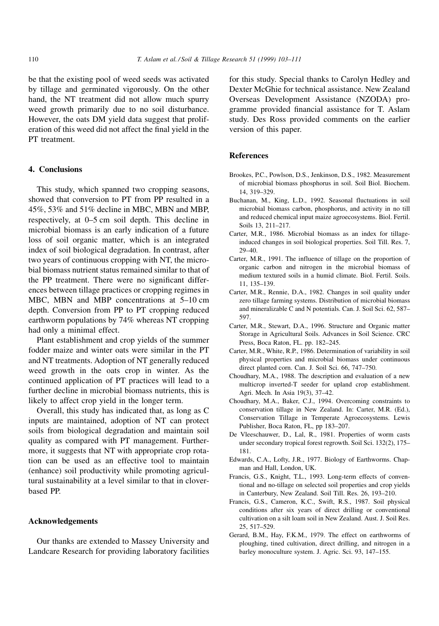be that the existing pool of weed seeds was activated by tillage and germinated vigorously. On the other hand, the NT treatment did not allow much spurry weed growth primarily due to no soil disturbance. However, the oats DM yield data suggest that proliferation of this weed did not affect the final yield in the PT treatment.

## 4. Conclusions

This study, which spanned two cropping seasons, showed that conversion to PT from PP resulted in a 45%, 53% and 51% decline in MBC, MBN and MBP, respectively, at 0-5 cm soil depth. This decline in microbial biomass is an early indication of a future loss of soil organic matter, which is an integrated index of soil biological degradation. In contrast, after two years of continuous cropping with NT, the microbial biomass nutrient status remained similar to that of the PP treatment. There were no significant differences between tillage practices or cropping regimes in MBC, MBN and MBP concentrations at  $5-10$  cm depth. Conversion from PP to PT cropping reduced earthworm populations by 74% whereas NT cropping had only a minimal effect.

Plant establishment and crop yields of the summer fodder maize and winter oats were similar in the PT and NT treatments. Adoption of NT generally reduced weed growth in the oats crop in winter. As the continued application of PT practices will lead to a further decline in microbial biomass nutrients, this is likely to affect crop yield in the longer term.

Overall, this study has indicated that, as long as C inputs are maintained, adoption of NT can protect soils from biological degradation and maintain soil quality as compared with PT management. Furthermore, it suggests that NT with appropriate crop rotation can be used as an effective tool to maintain (enhance) soil productivity while promoting agricultural sustainability at a level similar to that in cloverbased PP.

## Acknowledgements

Our thanks are extended to Massey University and Landcare Research for providing laboratory facilities for this study. Special thanks to Carolyn Hedley and Dexter McGhie for technical assistance. New Zealand Overseas Development Assistance (NZODA) programme provided financial assistance for T. Aslam study. Des Ross provided comments on the earlier version of this paper.

### References

- Brookes, P.C., Powlson, D.S., Jenkinson, D.S., 1982. Measurement of microbial biomass phosphorus in soil. Soil Biol. Biochem. 14, 319±329.
- Buchanan, M., King, L.D., 1992. Seasonal fluctuations in soil microbial biomass carbon, phosphorus, and activity in no till and reduced chemical input maize agroecosystems. Biol. Fertil. Soils 13, 211-217.
- Carter, M.R., 1986. Microbial biomass as an index for tillageinduced changes in soil biological properties. Soil Till. Res. 7,  $29 - 40.$
- Carter, M.R., 1991. The influence of tillage on the proportion of organic carbon and nitrogen in the microbial biomass of medium textured soils in a humid climate. Biol. Fertil. Soils. 11, 135±139.
- Carter, M.R., Rennie, D.A., 1982. Changes in soil quality under zero tillage farming systems. Distribution of microbial biomass and mineralizable C and N potentials. Can. J. Soil Sci. 62, 587-597.
- Carter, M.R., Stewart, D.A., 1996. Structure and Organic matter Storage in Agricultural Soils. Advances in Soil Science. CRC Press, Boca Raton, FL. pp. 182-245.
- Carter, M.R., White, R.P., 1986. Determination of variability in soil physical properties and microbial biomass under continuous direct planted corn. Can. J. Soil Sci. 66, 747-750.
- Choudhary, M.A., 1988. The description and evaluation of a new multicrop inverted-T seeder for upland crop establishment. Agri. Mech. In Asia 19(3), 37-42.
- Choudhary, M.A., Baker, C.J., 1994. Overcoming constraints to conservation tillage in New Zealand. In: Carter, M.R. (Ed.), Conservation Tillage in Temperate Agroecosystems. Lewis Publisher, Boca Raton, FL, pp 183-207.
- De Vleeschauwer, D., Lal, R., 1981. Properties of worm casts under secondary tropical forest regrowth. Soil Sci. 132(2), 175-181.
- Edwards, C.A., Lofty, J.R., 1977. Biology of Earthworms. Chapman and Hall, London, UK.
- Francis, G.S., Knight, T.L., 1993. Long-term effects of conventional and no-tillage on selected soil properties and crop yields in Canterbury, New Zealand. Soil Till. Res. 26, 193-210.
- Francis, G.S., Cameron, K.C., Swift, R.S., 1987. Soil physical conditions after six years of direct drilling or conventional cultivation on a silt loam soil in New Zealand. Aust. J. Soil Res. 25, 517±529.
- Gerard, B.M., Hay, F.K.M., 1979. The effect on earthworms of ploughing, tined cultivation, direct drilling, and nitrogen in a barley monoculture system. J. Agric. Sci. 93, 147-155.